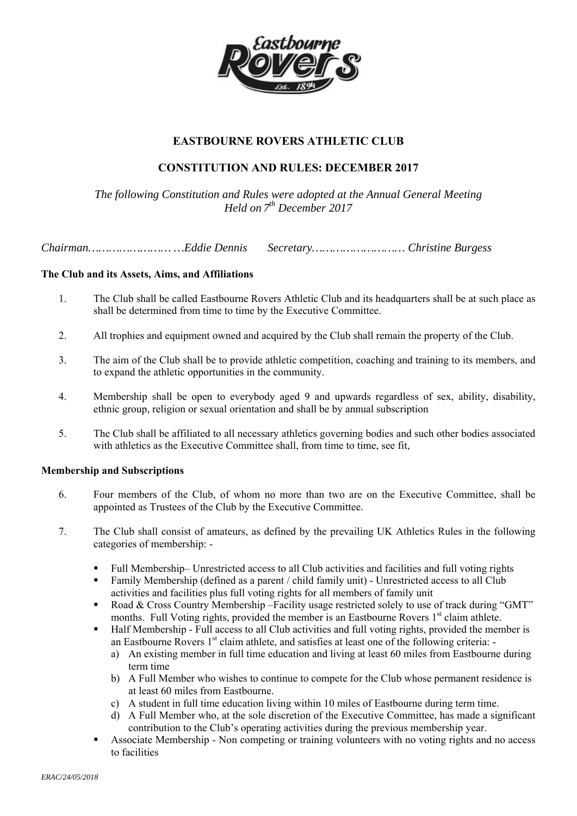

# **EASTBOURNE ROVERS ATHLETIC CLUB**

# **CONSTITUTION AND RULES: DECEMBER 2017**

*The following Constitution and Rules were adopted at the Annual General Meeting Held on 7th December 2017* 

*Chairman…………………… …Eddie Dennis Secretary……………………… Christine Burgess* 

## **The Club and its Assets, Aims, and Affiliations**

- 1. The Club shall be called Eastbourne Rovers Athletic Club and its headquarters shall be at such place as shall be determined from time to time by the Executive Committee.
- 2. All trophies and equipment owned and acquired by the Club shall remain the property of the Club.
- 3. The aim of the Club shall be to provide athletic competition, coaching and training to its members, and to expand the athletic opportunities in the community.
- 4. Membership shall be open to everybody aged 9 and upwards regardless of sex, ability, disability, ethnic group, religion or sexual orientation and shall be by annual subscription
- 5. The Club shall be affiliated to all necessary athletics governing bodies and such other bodies associated with athletics as the Executive Committee shall, from time to time, see fit,

### **Membership and Subscriptions**

- 6. Four members of the Club, of whom no more than two are on the Executive Committee, shall be appointed as Trustees of the Club by the Executive Committee.
- 7. The Club shall consist of amateurs, as defined by the prevailing UK Athletics Rules in the following categories of membership: -
	- Full Membership– Unrestricted access to all Club activities and facilities and full voting rights
	- Family Membership (defined as a parent / child family unit) Unrestricted access to all Club activities and facilities plus full voting rights for all members of family unit
	- Road & Cross Country Membership –Facility usage restricted solely to use of track during "GMT" months. Full Voting rights, provided the member is an Eastbourne Rovers 1<sup>st</sup> claim athlete.
	- Half Membership Full access to all Club activities and full voting rights, provided the member is an Eastbourne Rovers  $1<sup>st</sup>$  claim athlete, and satisfies at least one of the following criteria:
		- a) An existing member in full time education and living at least 60 miles from Eastbourne during term time
		- b) A Full Member who wishes to continue to compete for the Club whose permanent residence is at least 60 miles from Eastbourne.
		- c) A student in full time education living within 10 miles of Eastbourne during term time.
		- d) A Full Member who, at the sole discretion of the Executive Committee, has made a significant contribution to the Club's operating activities during the previous membership year.
	- Associate Membership Non competing or training volunteers with no voting rights and no access to facilities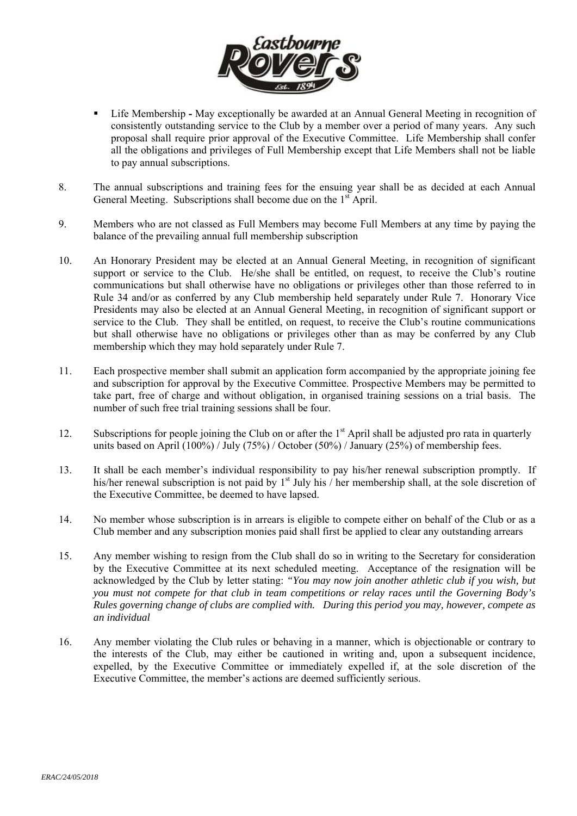

- Life MembershipMay exceptionally be awarded at an Annual General Meeting in recognition of consistently outstanding service to the Club by a member over a period of many years. Any such proposal shall require prior approval of the Executive Committee. Life Membership shall confer all the obligations and privileges of Full Membership except that Life Members shall not be liable to pay annual subscriptions.
- 8. The annual subscriptions and training fees for the ensuing year shall be as decided at each Annual General Meeting. Subscriptions shall become due on the  $1<sup>st</sup>$  April.
- 9. Members who are not classed as Full Members may become Full Members at any time by paying the balance of the prevailing annual full membership subscription
- 10. An Honorary President may be elected at an Annual General Meeting, in recognition of significant support or service to the Club. He/she shall be entitled, on request, to receive the Club's routine communications but shall otherwise have no obligations or privileges other than those referred to in Rule 34 and/or as conferred by any Club membership held separately under Rule 7. Honorary Vice Presidents may also be elected at an Annual General Meeting, in recognition of significant support or service to the Club. They shall be entitled, on request, to receive the Club's routine communications but shall otherwise have no obligations or privileges other than as may be conferred by any Club membership which they may hold separately under Rule 7.
- 11. Each prospective member shall submit an application form accompanied by the appropriate joining fee and subscription for approval by the Executive Committee. Prospective Members may be permitted to take part, free of charge and without obligation, in organised training sessions on a trial basis. The number of such free trial training sessions shall be four.
- 12. Subscriptions for people joining the Club on or after the  $1<sup>st</sup>$  April shall be adjusted pro rata in quarterly units based on April (100%) / July (75%) / October (50%) / January (25%) of membership fees.
- 13. It shall be each member's individual responsibility to pay his/her renewal subscription promptly. If his/her renewal subscription is not paid by 1<sup>st</sup> July his / her membership shall, at the sole discretion of the Executive Committee, be deemed to have lapsed.
- 14. No member whose subscription is in arrears is eligible to compete either on behalf of the Club or as a Club member and any subscription monies paid shall first be applied to clear any outstanding arrears
- 15. Any member wishing to resign from the Club shall do so in writing to the Secretary for consideration by the Executive Committee at its next scheduled meeting. Acceptance of the resignation will be acknowledged by the Club by letter stating: *"You may now join another athletic club if you wish, but you must not compete for that club in team competitions or relay races until the Governing Body's Rules governing change of clubs are complied with. During this period you may, however, compete as an individual*
- 16. Any member violating the Club rules or behaving in a manner, which is objectionable or contrary to the interests of the Club, may either be cautioned in writing and, upon a subsequent incidence, expelled, by the Executive Committee or immediately expelled if, at the sole discretion of the Executive Committee, the member's actions are deemed sufficiently serious.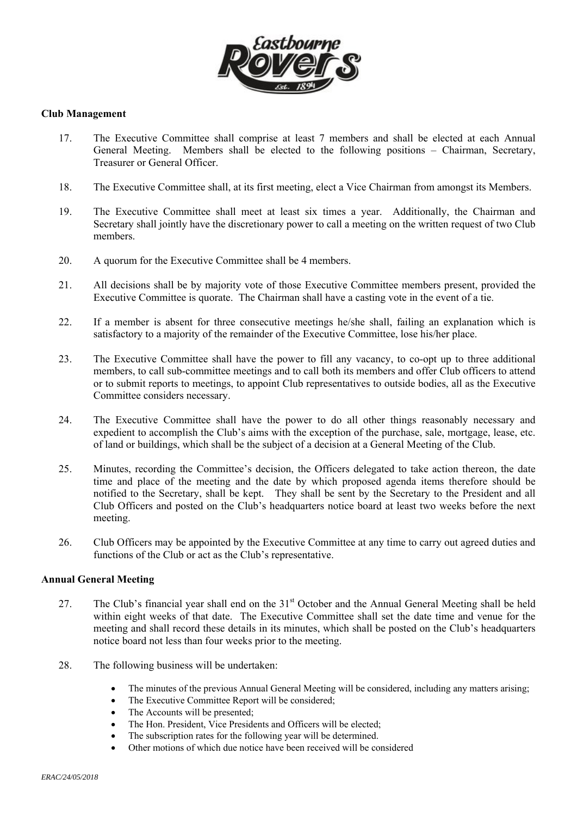

### **Club Management**

- 17. The Executive Committee shall comprise at least 7 members and shall be elected at each Annual General Meeting. Members shall be elected to the following positions – Chairman, Secretary, Treasurer or General Officer.
- 18. The Executive Committee shall, at its first meeting, elect a Vice Chairman from amongst its Members.
- 19. The Executive Committee shall meet at least six times a year. Additionally, the Chairman and Secretary shall jointly have the discretionary power to call a meeting on the written request of two Club members.
- 20. A quorum for the Executive Committee shall be 4 members.
- 21. All decisions shall be by majority vote of those Executive Committee members present, provided the Executive Committee is quorate. The Chairman shall have a casting vote in the event of a tie.
- 22. If a member is absent for three consecutive meetings he/she shall, failing an explanation which is satisfactory to a majority of the remainder of the Executive Committee, lose his/her place.
- 23. The Executive Committee shall have the power to fill any vacancy, to co-opt up to three additional members, to call sub-committee meetings and to call both its members and offer Club officers to attend or to submit reports to meetings, to appoint Club representatives to outside bodies, all as the Executive Committee considers necessary.
- 24. The Executive Committee shall have the power to do all other things reasonably necessary and expedient to accomplish the Club's aims with the exception of the purchase, sale, mortgage, lease, etc. of land or buildings, which shall be the subject of a decision at a General Meeting of the Club.
- 25. Minutes, recording the Committee's decision, the Officers delegated to take action thereon, the date time and place of the meeting and the date by which proposed agenda items therefore should be notified to the Secretary, shall be kept. They shall be sent by the Secretary to the President and all Club Officers and posted on the Club's headquarters notice board at least two weeks before the next meeting.
- 26. Club Officers may be appointed by the Executive Committee at any time to carry out agreed duties and functions of the Club or act as the Club's representative.

### **Annual General Meeting**

- 27. The Club's financial year shall end on the 31<sup>st</sup> October and the Annual General Meeting shall be held within eight weeks of that date. The Executive Committee shall set the date time and venue for the meeting and shall record these details in its minutes, which shall be posted on the Club's headquarters notice board not less than four weeks prior to the meeting.
- 28. The following business will be undertaken:
	- The minutes of the previous Annual General Meeting will be considered, including any matters arising;
	- The Executive Committee Report will be considered;
	- The Accounts will be presented;
	- The Hon. President, Vice Presidents and Officers will be elected;
	- The subscription rates for the following year will be determined.
	- Other motions of which due notice have been received will be considered